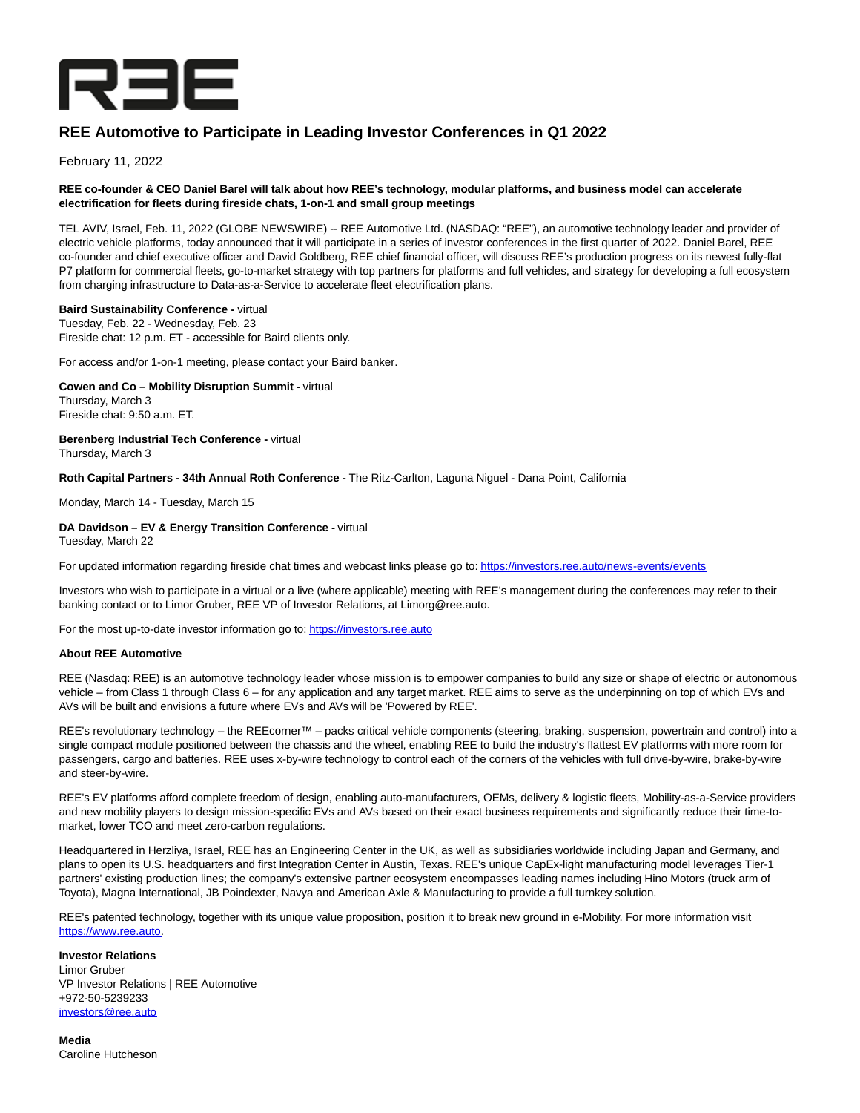

# **REE Automotive to Participate in Leading Investor Conferences in Q1 2022**

February 11, 2022

# **REE co-founder & CEO Daniel Barel will talk about how REE's technology, modular platforms, and business model can accelerate electrification for fleets during fireside chats, 1-on-1 and small group meetings**

TEL AVIV, Israel, Feb. 11, 2022 (GLOBE NEWSWIRE) -- REE Automotive Ltd. (NASDAQ: "REE"), an automotive technology leader and provider of electric vehicle platforms, today announced that it will participate in a series of investor conferences in the first quarter of 2022. Daniel Barel, REE co-founder and chief executive officer and David Goldberg, REE chief financial officer, will discuss REE's production progress on its newest fully-flat P7 platform for commercial fleets, go-to-market strategy with top partners for platforms and full vehicles, and strategy for developing a full ecosystem from charging infrastructure to Data-as-a-Service to accelerate fleet electrification plans.

# **Baird Sustainability Conference -** virtual

Tuesday, Feb. 22 - Wednesday, Feb. 23 Fireside chat: 12 p.m. ET - accessible for Baird clients only.

For access and/or 1-on-1 meeting, please contact your Baird banker.

**Cowen and Co – Mobility Disruption Summit -** virtual Thursday, March 3

Fireside chat: 9:50 a.m. ET.

**Berenberg Industrial Tech Conference -** virtual Thursday, March 3

**Roth Capital Partners - 34th Annual Roth Conference -** The Ritz-Carlton, Laguna Niguel - Dana Point, California

Monday, March 14 - Tuesday, March 15

**DA Davidson – EV & Energy Transition Conference -** virtual Tuesday, March 22

For updated information regarding fireside chat times and webcast links please go to[: https://investors.ree.auto/news-events/events](https://www.globenewswire.com/Tracker?data=BPD_-BpUy19Mf9f9MjS_2paD7h1PBa6HqD9TNMUL9olf5QM5uPwJW6MlJEkE3wW1YXyutr28VddqV92K8OS4M3dwBXCenKOVIss3AwlnpwKd8KVy58YDdg3nEzwKXjiPFFbpAX9MZG9SGmPvxnrhoQ==)

Investors who wish to participate in a virtual or a live (where applicable) meeting with REE's management during the conferences may refer to their banking contact or to Limor Gruber, REE VP of Investor Relations, at Limorg@ree.auto.

For the most up-to-date investor information go to[: https://investors.ree.auto](https://www.globenewswire.com/Tracker?data=BPD_-BpUy19Mf9f9MjS_2paD7h1PBa6HqD9TNMUL9onxuemPC339ZX7J9FigONSUfdWEXV_RO6ILs2hg9Qzk6Wzy0BE5I4w0D3EqmCJpJGc=)

# **About REE Automotive**

REE (Nasdaq: REE) is an automotive technology leader whose mission is to empower companies to build any size or shape of electric or autonomous vehicle – from Class 1 through Class 6 – for any application and any target market. REE aims to serve as the underpinning on top of which EVs and AVs will be built and envisions a future where EVs and AVs will be 'Powered by REE'.

REE's revolutionary technology – the REEcorner™ – packs critical vehicle components (steering, braking, suspension, powertrain and control) into a single compact module positioned between the chassis and the wheel, enabling REE to build the industry's flattest EV platforms with more room for passengers, cargo and batteries. REE uses x-by-wire technology to control each of the corners of the vehicles with full drive-by-wire, brake-by-wire and steer-by-wire.

REE's EV platforms afford complete freedom of design, enabling auto-manufacturers, OEMs, delivery & logistic fleets, Mobility-as-a-Service providers and new mobility players to design mission-specific EVs and AVs based on their exact business requirements and significantly reduce their time-tomarket, lower TCO and meet zero-carbon regulations.

Headquartered in Herzliya, Israel, REE has an Engineering Center in the UK, as well as subsidiaries worldwide including Japan and Germany, and plans to open its U.S. headquarters and first Integration Center in Austin, Texas. REE's unique CapEx-light manufacturing model leverages Tier-1 partners' existing production lines; the company's extensive partner ecosystem encompasses leading names including Hino Motors (truck arm of Toyota), Magna International, JB Poindexter, Navya and American Axle & Manufacturing to provide a full turnkey solution.

REE's patented technology, together with its unique value proposition, position it to break new ground in e-Mobility. For more information visit [https://www.ree.auto.](https://www.globenewswire.com/Tracker?data=BPD_-BpUy19Mf9f9MjS_2pAamTt4izp2GILl_0Q9qvSO6BurM5dSioxfT9BtxKtXsE_5r3dbaCL-CoZ5ccKaiA==)

**Investor Relations** Limor Gruber VP Investor Relations | REE Automotive +972-50-5239233 [investors@ree.auto](https://www.globenewswire.com/Tracker?data=nxQRslGFw1ykITsOHAe8o1bpzFRglCY1-pbIyj_sRCKb-0-w7-dZypr9n_DwjX7fm2Dlc5yYcQz_zP1KT0IjsGQfzvItiYPh1tkFP2clWe8=)

**Media** Caroline Hutcheson